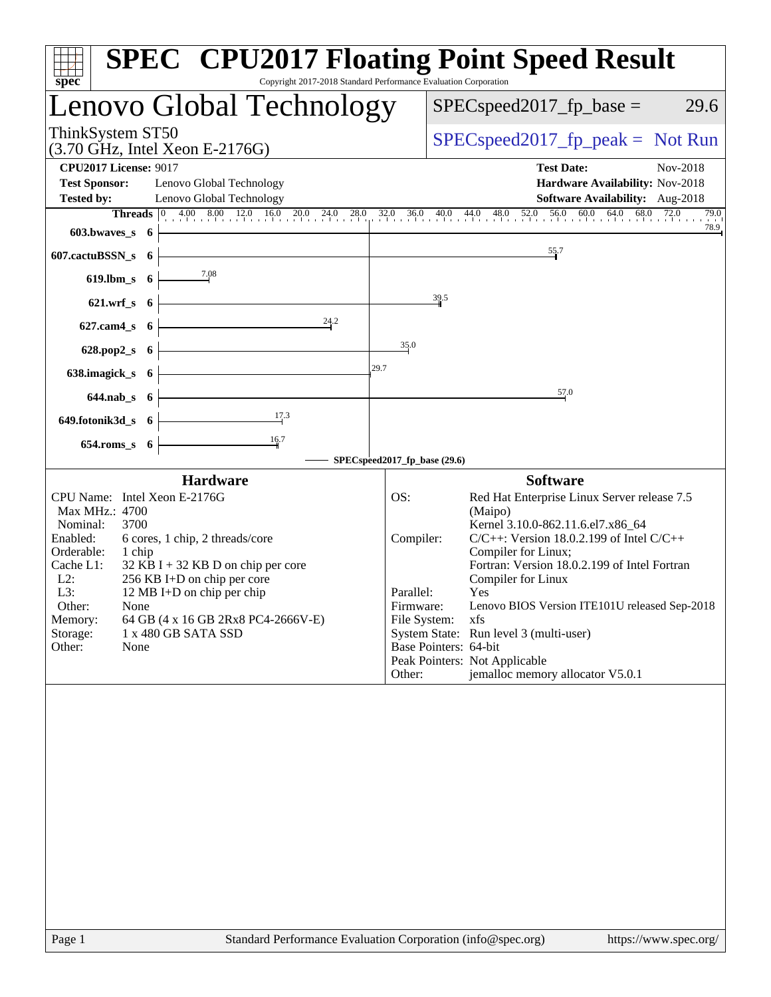| $s\overline{p}e\overline{c}$<br>Copyright 2017-2018 Standard Performance Evaluation Corporation                                                                                                                                                                                                                                                                                                      | <b>SPEC<sup>®</sup> CPU2017 Floating Point Speed Result</b>                                                                                                                                                                                                                                                                                                                                                                                                                                                              |
|------------------------------------------------------------------------------------------------------------------------------------------------------------------------------------------------------------------------------------------------------------------------------------------------------------------------------------------------------------------------------------------------------|--------------------------------------------------------------------------------------------------------------------------------------------------------------------------------------------------------------------------------------------------------------------------------------------------------------------------------------------------------------------------------------------------------------------------------------------------------------------------------------------------------------------------|
| Lenovo Global Technology                                                                                                                                                                                                                                                                                                                                                                             | $SPEC speed2017fp base =$<br>29.6                                                                                                                                                                                                                                                                                                                                                                                                                                                                                        |
| ThinkSystem ST50<br>$(3.70 \text{ GHz}, \text{Intel Xeon E-2176G})$                                                                                                                                                                                                                                                                                                                                  | $SPEC speed2017fr peak = Not Run$                                                                                                                                                                                                                                                                                                                                                                                                                                                                                        |
| <b>CPU2017 License: 9017</b><br><b>Test Sponsor:</b><br>Lenovo Global Technology<br>Lenovo Global Technology<br><b>Tested by:</b>                                                                                                                                                                                                                                                                    | Nov-2018<br><b>Test Date:</b><br>Hardware Availability: Nov-2018<br><b>Software Availability:</b> Aug-2018                                                                                                                                                                                                                                                                                                                                                                                                               |
| $603.bwaves_s$ 6                                                                                                                                                                                                                                                                                                                                                                                     | <b>Threads</b> $\begin{bmatrix} 0 & 4.00 & 8.00 & 12.0 & 16.0 & 20.0 & 24.0 & 28.0 & 32.0 & 36.0 & 40.0 & 44.0 & 48.0 & 52.0 & 56.0 & 60.0 & 64.0 & 68.0 & 72.0 & 79.0 \end{bmatrix}$<br>79.0<br>78.9                                                                                                                                                                                                                                                                                                                    |
| $607.cactuBSSN_s$ 6                                                                                                                                                                                                                                                                                                                                                                                  | 55.7                                                                                                                                                                                                                                                                                                                                                                                                                                                                                                                     |
| 619.lbm_s $6 \begin{array}{ c c } \hline 7.08 \\ \hline \end{array}$                                                                                                                                                                                                                                                                                                                                 |                                                                                                                                                                                                                                                                                                                                                                                                                                                                                                                          |
| $621.wrf_s$ 6                                                                                                                                                                                                                                                                                                                                                                                        | 39.5                                                                                                                                                                                                                                                                                                                                                                                                                                                                                                                     |
| 627.cam4_s 6 $\overline{\qquad}$ 6 $\overline{\qquad}$ $\qquad$ $\qquad$ $\qquad$ $\qquad$ $\qquad$ $\qquad$ $\qquad$ $\qquad$ $\qquad$ $\qquad$ $\qquad$ $\qquad$ $\qquad$ $\qquad$ $\qquad$ $\qquad$ $\qquad$ $\qquad$ $\qquad$ $\qquad$ $\qquad$ $\qquad$ $\qquad$ $\qquad$ $\qquad$ $\qquad$ $\qquad$ $\qquad$ $\qquad$ $\qquad$ $\qquad$                                                        |                                                                                                                                                                                                                                                                                                                                                                                                                                                                                                                          |
| 628.pop2_s $6$ $\overline{\phantom{a}}$                                                                                                                                                                                                                                                                                                                                                              | 35.0                                                                                                                                                                                                                                                                                                                                                                                                                                                                                                                     |
| 29.7<br>638.imagick_s $6 \n\big\}$                                                                                                                                                                                                                                                                                                                                                                   |                                                                                                                                                                                                                                                                                                                                                                                                                                                                                                                          |
| $644.nab_s$ 6                                                                                                                                                                                                                                                                                                                                                                                        | 57.0                                                                                                                                                                                                                                                                                                                                                                                                                                                                                                                     |
| 649.fotonik3d_s 6 $\frac{17}{3}$                                                                                                                                                                                                                                                                                                                                                                     |                                                                                                                                                                                                                                                                                                                                                                                                                                                                                                                          |
| $654$ .roms_s $6$                                                                                                                                                                                                                                                                                                                                                                                    | - SPECspeed2017_fp_base (29.6)                                                                                                                                                                                                                                                                                                                                                                                                                                                                                           |
| <b>Hardware</b>                                                                                                                                                                                                                                                                                                                                                                                      | <b>Software</b>                                                                                                                                                                                                                                                                                                                                                                                                                                                                                                          |
| CPU Name: Intel Xeon E-2176G<br>Max MHz.: 4700<br>Nominal:<br>3700<br>Enabled:<br>6 cores, 1 chip, 2 threads/core<br>Orderable:<br>1 chip<br>Cache L1:<br>$32$ KB I + 32 KB D on chip per core<br>$L2$ :<br>256 KB I+D on chip per core<br>L3:<br>12 MB I+D on chip per chip<br>Other:<br>None<br>64 GB (4 x 16 GB 2Rx8 PC4-2666V-E)<br>Memory:<br>Storage:<br>1 x 480 GB SATA SSD<br>Other:<br>None | Red Hat Enterprise Linux Server release 7.5<br>OS:<br>(Maipo)<br>Kernel 3.10.0-862.11.6.el7.x86_64<br>$C/C++$ : Version 18.0.2.199 of Intel $C/C++$<br>Compiler:<br>Compiler for Linux;<br>Fortran: Version 18.0.2.199 of Intel Fortran<br>Compiler for Linux<br>Yes<br>Parallel:<br>Lenovo BIOS Version ITE101U released Sep-2018<br>Firmware:<br>File System:<br>xfs<br>System State: Run level 3 (multi-user)<br>Base Pointers: 64-bit<br>Peak Pointers: Not Applicable<br>jemalloc memory allocator V5.0.1<br>Other: |
| Standard Performance Evaluation Corporation (info@spec.org)<br>Page 1                                                                                                                                                                                                                                                                                                                                | https://www.spec.org/                                                                                                                                                                                                                                                                                                                                                                                                                                                                                                    |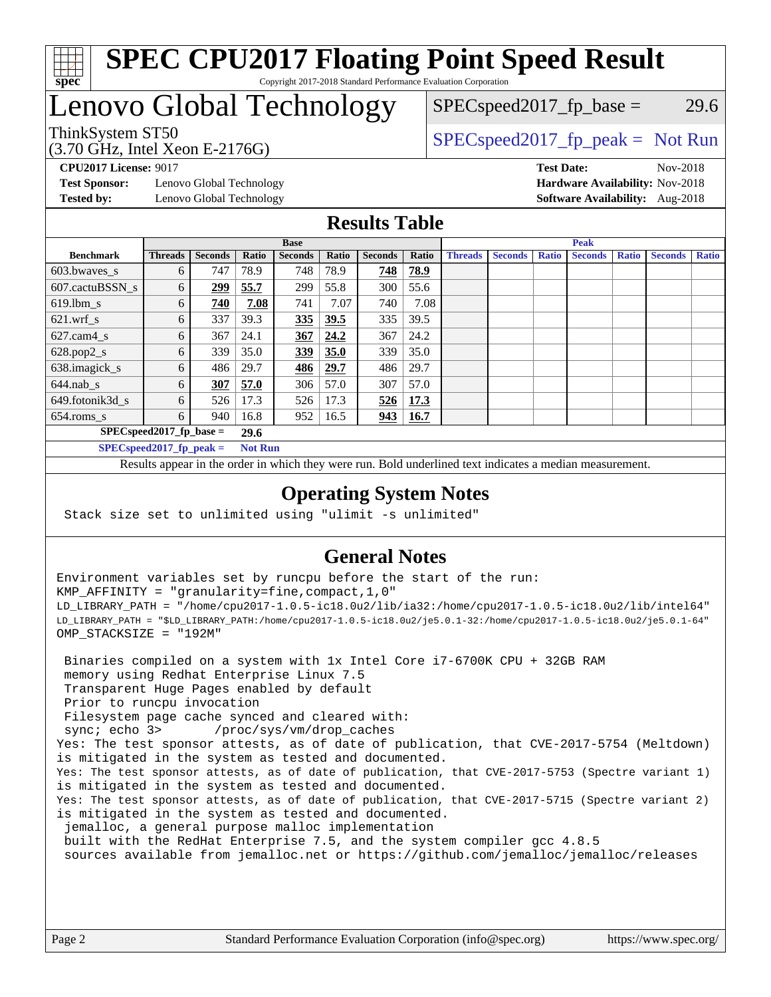

#### **[SPEC CPU2017 Floating Point Speed Result](http://www.spec.org/auto/cpu2017/Docs/result-fields.html#SPECCPU2017FloatingPointSpeedResult)** Copyright 2017-2018 Standard Performance Evaluation Corporation

## Lenovo Global Technology

(3.70 GHz, Intel Xeon E-2176G)

ThinkSystem ST50  $SPEC speed2017$  [p\_peak = Not Run

 $SPEC speed2017<sub>fp</sub> base = 29.6$ 

**[Test Sponsor:](http://www.spec.org/auto/cpu2017/Docs/result-fields.html#TestSponsor)** Lenovo Global Technology **[Hardware Availability:](http://www.spec.org/auto/cpu2017/Docs/result-fields.html#HardwareAvailability)** Nov-2018 **[Tested by:](http://www.spec.org/auto/cpu2017/Docs/result-fields.html#Testedby)** Lenovo Global Technology **[Software Availability:](http://www.spec.org/auto/cpu2017/Docs/result-fields.html#SoftwareAvailability)** Aug-2018

**[CPU2017 License:](http://www.spec.org/auto/cpu2017/Docs/result-fields.html#CPU2017License)** 9017 **[Test Date:](http://www.spec.org/auto/cpu2017/Docs/result-fields.html#TestDate)** Nov-2018

#### **[Results Table](http://www.spec.org/auto/cpu2017/Docs/result-fields.html#ResultsTable)**

|                          | <b>Base</b>                |                |                |                |       |                | <b>Peak</b> |                |                |              |                |              |                |              |
|--------------------------|----------------------------|----------------|----------------|----------------|-------|----------------|-------------|----------------|----------------|--------------|----------------|--------------|----------------|--------------|
| <b>Benchmark</b>         | <b>Threads</b>             | <b>Seconds</b> | Ratio          | <b>Seconds</b> | Ratio | <b>Seconds</b> | Ratio       | <b>Threads</b> | <b>Seconds</b> | <b>Ratio</b> | <b>Seconds</b> | <b>Ratio</b> | <b>Seconds</b> | <b>Ratio</b> |
| $603.bwaves$ s           | 6                          | 747            | 78.9           | 748            | 78.9  | 748            | 78.9        |                |                |              |                |              |                |              |
| 607.cactuBSSN s          | 6                          | 299            | 55.7           | 299            | 55.8  | 300            | 55.6        |                |                |              |                |              |                |              |
| $619.$ lbm s             | 6                          | 740            | 7.08           | 741            | 7.07  | 740            | 7.08        |                |                |              |                |              |                |              |
| $621.wrf$ s              | 6                          | 337            | 39.3           | 335            | 39.5  | 335            | 39.5        |                |                |              |                |              |                |              |
| $627$ .cam $4 \text{ s}$ | 6                          | 367            | 24.1           | 367            | 24.2  | 367            | 24.2        |                |                |              |                |              |                |              |
| $628.pop2_s$             | 6                          | 339            | 35.0           | <b>339</b>     | 35.0  | 339            | 35.0        |                |                |              |                |              |                |              |
| 638.imagick_s            | 6                          | 486            | 29.7           | 486            | 29.7  | 486            | 29.7        |                |                |              |                |              |                |              |
| $644$ .nab s             | 6                          | 307            | 57.0           | 306            | 57.0  | 307            | 57.0        |                |                |              |                |              |                |              |
| 649.fotonik3d_s          | 6                          | 526            | 17.3           | 526            | 17.3  | 526            | 17.3        |                |                |              |                |              |                |              |
| $654$ .roms_s            | 6                          | 940            | 16.8           | 952            | 16.5  | 943            | <b>16.7</b> |                |                |              |                |              |                |              |
|                          | $SPEC speed2017$ fp base = |                | 29.6           |                |       |                |             |                |                |              |                |              |                |              |
|                          | $SPECspeed2017_fp\_peak =$ |                | <b>Not Run</b> |                |       |                |             |                |                |              |                |              |                |              |

Results appear in the [order in which they were run.](http://www.spec.org/auto/cpu2017/Docs/result-fields.html#RunOrder) Bold underlined text [indicates a median measurement](http://www.spec.org/auto/cpu2017/Docs/result-fields.html#Median).

#### **[Operating System Notes](http://www.spec.org/auto/cpu2017/Docs/result-fields.html#OperatingSystemNotes)**

Stack size set to unlimited using "ulimit -s unlimited"

### **[General Notes](http://www.spec.org/auto/cpu2017/Docs/result-fields.html#GeneralNotes)**

Environment variables set by runcpu before the start of the run: KMP\_AFFINITY = "granularity=fine,compact,1,0" LD\_LIBRARY\_PATH = "/home/cpu2017-1.0.5-ic18.0u2/lib/ia32:/home/cpu2017-1.0.5-ic18.0u2/lib/intel64" LD\_LIBRARY\_PATH = "\$LD\_LIBRARY\_PATH:/home/cpu2017-1.0.5-ic18.0u2/je5.0.1-32:/home/cpu2017-1.0.5-ic18.0u2/je5.0.1-64" OMP\_STACKSIZE = "192M"

 Binaries compiled on a system with 1x Intel Core i7-6700K CPU + 32GB RAM memory using Redhat Enterprise Linux 7.5 Transparent Huge Pages enabled by default Prior to runcpu invocation Filesystem page cache synced and cleared with: sync; echo 3> /proc/sys/vm/drop\_caches Yes: The test sponsor attests, as of date of publication, that CVE-2017-5754 (Meltdown) is mitigated in the system as tested and documented. Yes: The test sponsor attests, as of date of publication, that CVE-2017-5753 (Spectre variant 1) is mitigated in the system as tested and documented. Yes: The test sponsor attests, as of date of publication, that CVE-2017-5715 (Spectre variant 2) is mitigated in the system as tested and documented. jemalloc, a general purpose malloc implementation built with the RedHat Enterprise 7.5, and the system compiler gcc 4.8.5 sources available from jemalloc.net or <https://github.com/jemalloc/jemalloc/releases>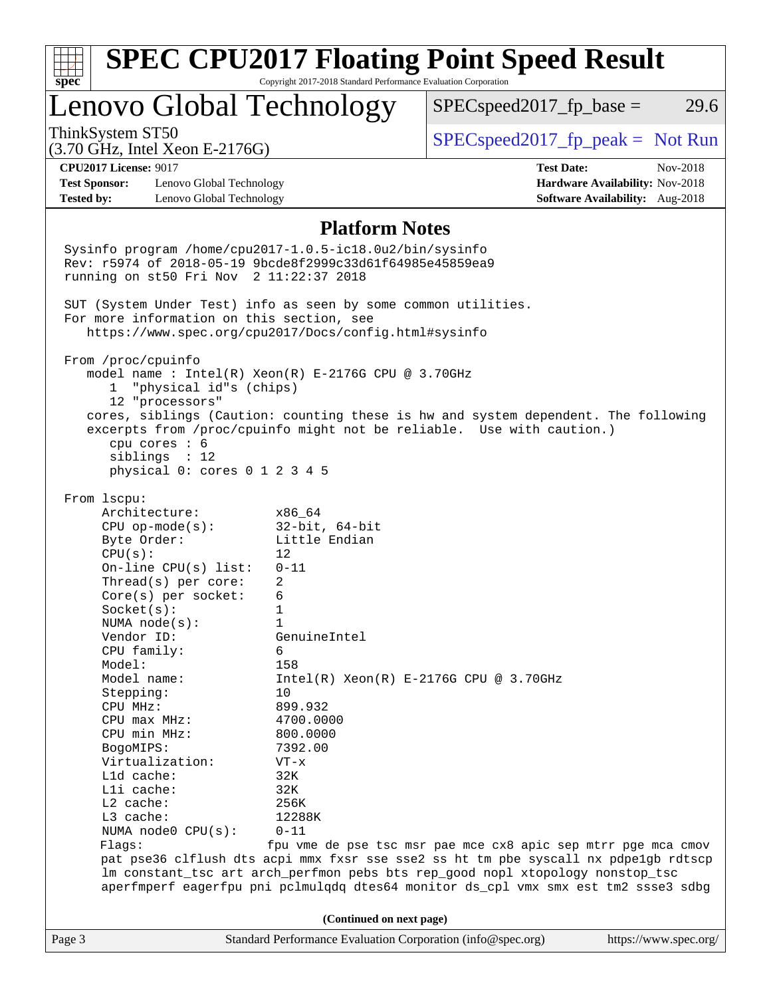| Lenovo Global Technology<br>ThinkSystem ST50<br>$(3.70 \text{ GHz}, \text{Intel Xeon E-2176G})$             |                          |                                                                                    |                                 |
|-------------------------------------------------------------------------------------------------------------|--------------------------|------------------------------------------------------------------------------------|---------------------------------|
|                                                                                                             |                          | $SPEC speed2017fr base =$                                                          | 29.6                            |
|                                                                                                             |                          | $SPEC speed2017fr peak = Not Run$                                                  |                                 |
| <b>CPU2017 License: 9017</b>                                                                                |                          | <b>Test Date:</b>                                                                  | Nov-2018                        |
| <b>Test Sponsor:</b><br>Lenovo Global Technology                                                            |                          |                                                                                    | Hardware Availability: Nov-2018 |
| <b>Tested by:</b><br>Lenovo Global Technology                                                               |                          |                                                                                    | Software Availability: Aug-2018 |
|                                                                                                             | <b>Platform Notes</b>    |                                                                                    |                                 |
| Sysinfo program /home/cpu2017-1.0.5-ic18.0u2/bin/sysinfo                                                    |                          |                                                                                    |                                 |
| Rev: r5974 of 2018-05-19 9bcde8f2999c33d61f64985e45859ea9                                                   |                          |                                                                                    |                                 |
| running on st50 Fri Nov 2 11:22:37 2018                                                                     |                          |                                                                                    |                                 |
|                                                                                                             |                          |                                                                                    |                                 |
| SUT (System Under Test) info as seen by some common utilities.<br>For more information on this section, see |                          |                                                                                    |                                 |
| https://www.spec.org/cpu2017/Docs/config.html#sysinfo                                                       |                          |                                                                                    |                                 |
| From /proc/cpuinfo                                                                                          |                          |                                                                                    |                                 |
| model name : Intel(R) Xeon(R) E-2176G CPU @ 3.70GHz                                                         |                          |                                                                                    |                                 |
| 1 "physical id"s (chips)                                                                                    |                          |                                                                                    |                                 |
| 12 "processors"                                                                                             |                          |                                                                                    |                                 |
| cores, siblings (Caution: counting these is hw and system dependent. The following                          |                          |                                                                                    |                                 |
| excerpts from /proc/cpuinfo might not be reliable. Use with caution.)                                       |                          |                                                                                    |                                 |
| cpu cores : 6                                                                                               |                          |                                                                                    |                                 |
| sibling: 12<br>physical 0: cores 0 1 2 3 4 5                                                                |                          |                                                                                    |                                 |
|                                                                                                             |                          |                                                                                    |                                 |
| From 1scpu:                                                                                                 |                          |                                                                                    |                                 |
| Architecture:                                                                                               | x86 64                   |                                                                                    |                                 |
| $CPU$ op-mode(s):                                                                                           | $32$ -bit, $64$ -bit     |                                                                                    |                                 |
| Byte Order:                                                                                                 | Little Endian            |                                                                                    |                                 |
| CPU(s):                                                                                                     | 12                       |                                                                                    |                                 |
| On-line $CPU(s)$ list:                                                                                      | $0 - 11$                 |                                                                                    |                                 |
| Thread( $s$ ) per core:                                                                                     | 2                        |                                                                                    |                                 |
| $Core(s)$ per socket:                                                                                       | 6                        |                                                                                    |                                 |
| Socket(s):                                                                                                  | 1                        |                                                                                    |                                 |
| NUMA $node(s):$<br>Vendor ID:                                                                               | 1<br>GenuineIntel        |                                                                                    |                                 |
| CPU family:                                                                                                 | 6                        |                                                                                    |                                 |
| Model:                                                                                                      | 158                      |                                                                                    |                                 |
| Model name:                                                                                                 |                          | $Intel(R) Xeon(R) E-2176G CPU @ 3.70GHz$                                           |                                 |
| Stepping:                                                                                                   | 10                       |                                                                                    |                                 |
| CPU MHz:                                                                                                    | 899.932                  |                                                                                    |                                 |
| $CPU$ max $MHz$ :                                                                                           | 4700.0000                |                                                                                    |                                 |
| CPU min MHz:                                                                                                | 800.0000                 |                                                                                    |                                 |
|                                                                                                             | 7392.00                  |                                                                                    |                                 |
| BogoMIPS:                                                                                                   | $VT - x$                 |                                                                                    |                                 |
| Virtualization:                                                                                             |                          |                                                                                    |                                 |
| Lld cache:                                                                                                  | 32K                      |                                                                                    |                                 |
| Lli cache:                                                                                                  | 32K                      |                                                                                    |                                 |
| L2 cache:                                                                                                   | 256K                     |                                                                                    |                                 |
| L3 cache:                                                                                                   | 12288K                   |                                                                                    |                                 |
| NUMA $node0$ $CPU(s)$ :                                                                                     | $0 - 11$                 |                                                                                    |                                 |
| Flags:                                                                                                      |                          | fpu vme de pse tsc msr pae mce cx8 apic sep mtrr pge mca cmov                      |                                 |
| pat pse36 clflush dts acpi mmx fxsr sse sse2 ss ht tm pbe syscall nx pdpelgb rdtscp                         |                          | lm constant_tsc art arch_perfmon pebs bts rep_good nopl xtopology nonstop_tsc      |                                 |
|                                                                                                             |                          | aperfmperf eagerfpu pni pclmulqdq dtes64 monitor ds_cpl vmx smx est tm2 ssse3 sdbg |                                 |
|                                                                                                             | (Continued on next page) |                                                                                    |                                 |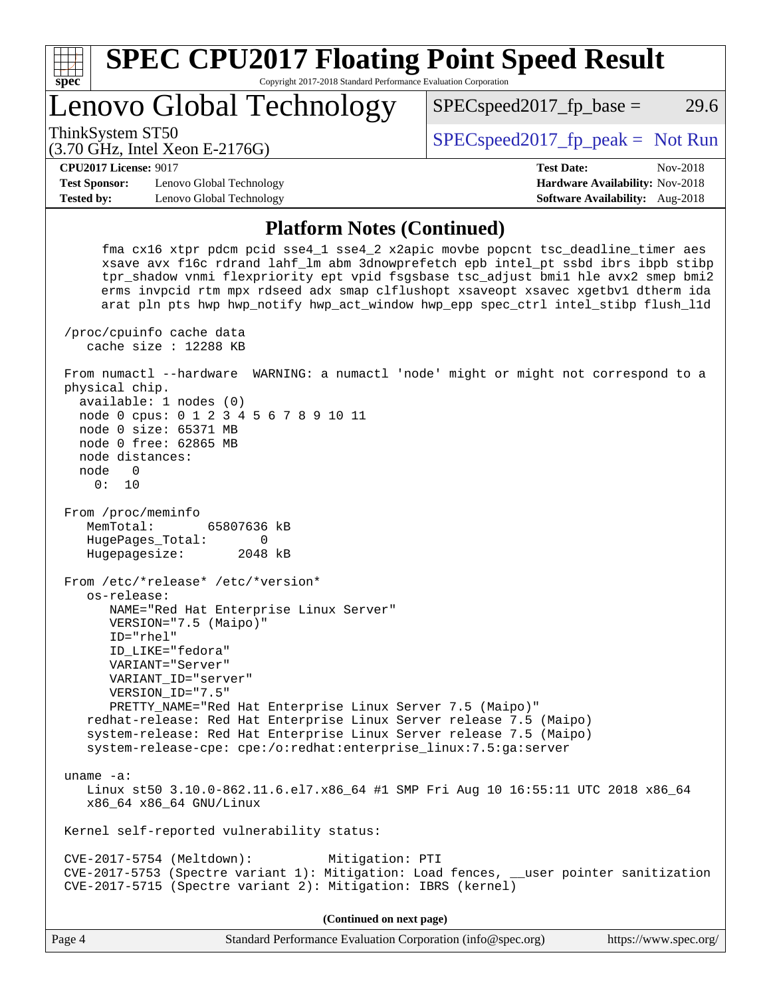| <b>SPEC CPU2017 Floating Point Speed Result</b>                                                                                                                                                                                                                                                                                                                                                                                        |                                  |                                        |  |  |  |  |
|----------------------------------------------------------------------------------------------------------------------------------------------------------------------------------------------------------------------------------------------------------------------------------------------------------------------------------------------------------------------------------------------------------------------------------------|----------------------------------|----------------------------------------|--|--|--|--|
| Copyright 2017-2018 Standard Performance Evaluation Corporation<br><b>spec</b>                                                                                                                                                                                                                                                                                                                                                         |                                  |                                        |  |  |  |  |
|                                                                                                                                                                                                                                                                                                                                                                                                                                        | Lenovo Global Technology         | 29.6<br>$SPEC speed2017_fp\_base =$    |  |  |  |  |
| ThinkSystem ST50                                                                                                                                                                                                                                                                                                                                                                                                                       | $(3.70$ GHz, Intel Xeon E-2176G) | $SPEC speed2017fr peak = Not Run$      |  |  |  |  |
| <b>CPU2017 License: 9017</b>                                                                                                                                                                                                                                                                                                                                                                                                           |                                  | <b>Test Date:</b><br>Nov-2018          |  |  |  |  |
| <b>Test Sponsor:</b>                                                                                                                                                                                                                                                                                                                                                                                                                   | Lenovo Global Technology         | <b>Hardware Availability: Nov-2018</b> |  |  |  |  |
| <b>Tested by:</b>                                                                                                                                                                                                                                                                                                                                                                                                                      | Lenovo Global Technology         | <b>Software Availability:</b> Aug-2018 |  |  |  |  |
| <b>Platform Notes (Continued)</b>                                                                                                                                                                                                                                                                                                                                                                                                      |                                  |                                        |  |  |  |  |
| fma cx16 xtpr pdcm pcid sse4_1 sse4_2 x2apic movbe popcnt tsc_deadline_timer aes<br>xsave avx f16c rdrand lahf_lm abm 3dnowprefetch epb intel_pt ssbd ibrs ibpb stibp<br>tpr_shadow vnmi flexpriority ept vpid fsgsbase tsc_adjust bmil hle avx2 smep bmi2<br>erms invpcid rtm mpx rdseed adx smap clflushopt xsaveopt xsavec xgetbvl dtherm ida<br>arat pln pts hwp hwp notify hwp act window hwp epp spec ctrl intel stibp flush lld |                                  |                                        |  |  |  |  |

 From numactl --hardware WARNING: a numactl 'node' might or might not correspond to a physical chip. available: 1 nodes (0)

 node 0 cpus: 0 1 2 3 4 5 6 7 8 9 10 11 node 0 size: 65371 MB node 0 free: 62865 MB node distances: node 0 0: 10 From /proc/meminfo MemTotal: 65807636 kB HugePages\_Total: 0 Hugepagesize: 2048 kB From /etc/\*release\* /etc/\*version\* os-release: NAME="Red Hat Enterprise Linux Server" VERSION="7.5 (Maipo)" ID="rhel" ID\_LIKE="fedora" VARIANT="Server" VARIANT\_ID="server" VERSION\_ID="7.5" PRETTY\_NAME="Red Hat Enterprise Linux Server 7.5 (Maipo)" redhat-release: Red Hat Enterprise Linux Server release 7.5 (Maipo) system-release: Red Hat Enterprise Linux Server release 7.5 (Maipo) system-release-cpe: cpe:/o:redhat:enterprise\_linux:7.5:ga:server uname -a: Linux st50 3.10.0-862.11.6.el7.x86\_64 #1 SMP Fri Aug 10 16:55:11 UTC 2018 x86\_64 x86\_64 x86\_64 GNU/Linux Kernel self-reported vulnerability status:

 CVE-2017-5754 (Meltdown): Mitigation: PTI CVE-2017-5753 (Spectre variant 1): Mitigation: Load fences, \_\_user pointer sanitization CVE-2017-5715 (Spectre variant 2): Mitigation: IBRS (kernel)

**(Continued on next page)**

 /proc/cpuinfo cache data cache size : 12288 KB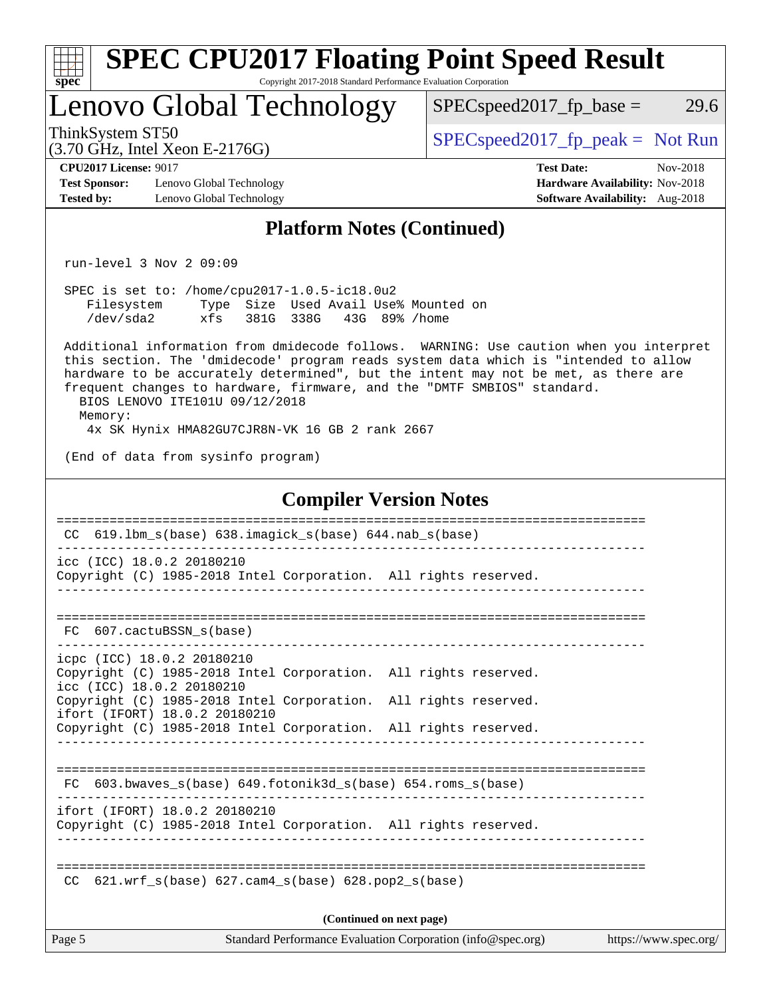| <b>SPEC CPU2017 Floating Point Speed Result</b><br>$spec^*$<br>Copyright 2017-2018 Standard Performance Evaluation Corporation                                                                                                                                                                                                                                                              |                                                                                                     |
|---------------------------------------------------------------------------------------------------------------------------------------------------------------------------------------------------------------------------------------------------------------------------------------------------------------------------------------------------------------------------------------------|-----------------------------------------------------------------------------------------------------|
| Lenovo Global Technology                                                                                                                                                                                                                                                                                                                                                                    | 29.6<br>$SPEC speed2017fr base =$                                                                   |
| ThinkSystem ST50<br>$(3.70 \text{ GHz}, \text{Intel Xeon E-2176G})$                                                                                                                                                                                                                                                                                                                         | $SPEC speed2017fr peak = Not Run$                                                                   |
| <b>CPU2017 License: 9017</b><br><b>Test Sponsor:</b><br>Lenovo Global Technology<br><b>Tested by:</b><br>Lenovo Global Technology                                                                                                                                                                                                                                                           | <b>Test Date:</b><br>Nov-2018<br>Hardware Availability: Nov-2018<br>Software Availability: Aug-2018 |
| <b>Platform Notes (Continued)</b>                                                                                                                                                                                                                                                                                                                                                           |                                                                                                     |
| $run-level$ 3 Nov 2 09:09                                                                                                                                                                                                                                                                                                                                                                   |                                                                                                     |
| SPEC is set to: /home/cpu2017-1.0.5-ic18.0u2<br>Filesystem Type Size Used Avail Use% Mounted on<br>/dev/sda2 xfs 381G 338G 43G 89% /home                                                                                                                                                                                                                                                    |                                                                                                     |
| Additional information from dmidecode follows. WARNING: Use caution when you interpret<br>this section. The 'dmidecode' program reads system data which is "intended to allow<br>hardware to be accurately determined", but the intent may not be met, as there are<br>frequent changes to hardware, firmware, and the "DMTF SMBIOS" standard.<br>BIOS LENOVO ITE101U 09/12/2018<br>Memory: |                                                                                                     |
| 4x SK Hynix HMA82GU7CJR8N-VK 16 GB 2 rank 2667<br>(End of data from sysinfo program)                                                                                                                                                                                                                                                                                                        |                                                                                                     |
|                                                                                                                                                                                                                                                                                                                                                                                             |                                                                                                     |
| <b>Compiler Version Notes</b>                                                                                                                                                                                                                                                                                                                                                               |                                                                                                     |
| CC 619.1bm_s(base) 638.imagick_s(base) 644.nab_s(base)                                                                                                                                                                                                                                                                                                                                      |                                                                                                     |
| icc (ICC) 18.0.2 20180210<br>Copyright (C) 1985-2018 Intel Corporation. All rights reserved.                                                                                                                                                                                                                                                                                                |                                                                                                     |
| 607.cactuBSSN s(base)<br>FC.<br>--------------                                                                                                                                                                                                                                                                                                                                              |                                                                                                     |
| icpc (ICC) 18.0.2 20180210<br>Copyright (C) 1985-2018 Intel Corporation. All rights reserved.<br>icc (ICC) 18.0.2 20180210                                                                                                                                                                                                                                                                  |                                                                                                     |
| Copyright (C) 1985-2018 Intel Corporation. All rights reserved.<br>ifort (IFORT) 18.0.2 20180210                                                                                                                                                                                                                                                                                            |                                                                                                     |
| Copyright (C) 1985-2018 Intel Corporation. All rights reserved.                                                                                                                                                                                                                                                                                                                             |                                                                                                     |
| FC 603.bwaves_s(base) 649.fotonik3d_s(base) 654.roms_s(base)                                                                                                                                                                                                                                                                                                                                |                                                                                                     |
| ifort (IFORT) 18.0.2 20180210<br>Copyright (C) 1985-2018 Intel Corporation. All rights reserved.                                                                                                                                                                                                                                                                                            |                                                                                                     |
| $CC$ 621.wrf_s(base) 627.cam4_s(base) 628.pop2_s(base)                                                                                                                                                                                                                                                                                                                                      |                                                                                                     |
| (Continued on next page)                                                                                                                                                                                                                                                                                                                                                                    |                                                                                                     |
| Page 5<br>Standard Performance Evaluation Corporation (info@spec.org)                                                                                                                                                                                                                                                                                                                       | https://www.spec.org/                                                                               |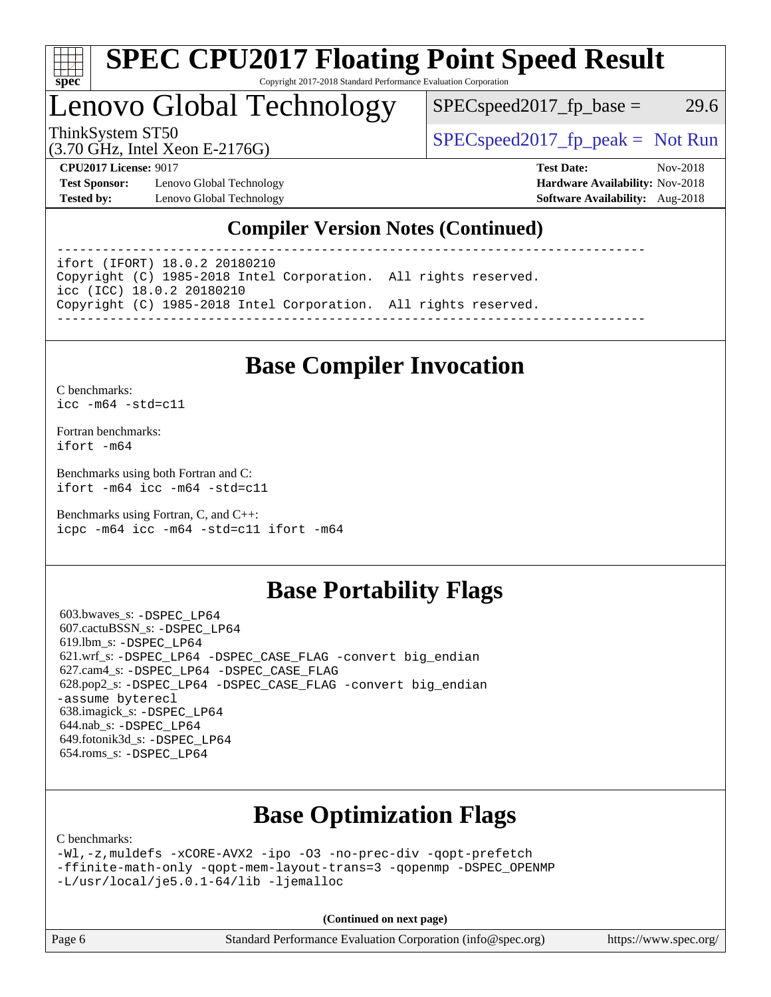

#### **[SPEC CPU2017 Floating Point Speed Result](http://www.spec.org/auto/cpu2017/Docs/result-fields.html#SPECCPU2017FloatingPointSpeedResult)** Copyright 2017-2018 Standard Performance Evaluation Corporation

## Lenovo Global Technology

 $SPEC speed2017<sub>fp</sub> base = 29.6$ 

(3.70 GHz, Intel Xeon E-2176G)

ThinkSystem ST50  $SPEC speed2017_f p_peak = Not Run$ 

**[Test Sponsor:](http://www.spec.org/auto/cpu2017/Docs/result-fields.html#TestSponsor)** Lenovo Global Technology **[Hardware Availability:](http://www.spec.org/auto/cpu2017/Docs/result-fields.html#HardwareAvailability)** Nov-2018 **[Tested by:](http://www.spec.org/auto/cpu2017/Docs/result-fields.html#Testedby)** Lenovo Global Technology **[Software Availability:](http://www.spec.org/auto/cpu2017/Docs/result-fields.html#SoftwareAvailability)** Aug-2018

**[CPU2017 License:](http://www.spec.org/auto/cpu2017/Docs/result-fields.html#CPU2017License)** 9017 **[Test Date:](http://www.spec.org/auto/cpu2017/Docs/result-fields.html#TestDate)** Nov-2018

### **[Compiler Version Notes \(Continued\)](http://www.spec.org/auto/cpu2017/Docs/result-fields.html#CompilerVersionNotes)**

------------------------------------------------------------------------------

ifort (IFORT) 18.0.2 20180210 Copyright (C) 1985-2018 Intel Corporation. All rights reserved. icc (ICC) 18.0.2 20180210 Copyright (C) 1985-2018 Intel Corporation. All rights reserved. ------------------------------------------------------------------------------

## **[Base Compiler Invocation](http://www.spec.org/auto/cpu2017/Docs/result-fields.html#BaseCompilerInvocation)**

[C benchmarks](http://www.spec.org/auto/cpu2017/Docs/result-fields.html#Cbenchmarks): [icc -m64 -std=c11](http://www.spec.org/cpu2017/results/res2018q4/cpu2017-20181113-09705.flags.html#user_CCbase_intel_icc_64bit_c11_33ee0cdaae7deeeab2a9725423ba97205ce30f63b9926c2519791662299b76a0318f32ddfffdc46587804de3178b4f9328c46fa7c2b0cd779d7a61945c91cd35)

[Fortran benchmarks](http://www.spec.org/auto/cpu2017/Docs/result-fields.html#Fortranbenchmarks): [ifort -m64](http://www.spec.org/cpu2017/results/res2018q4/cpu2017-20181113-09705.flags.html#user_FCbase_intel_ifort_64bit_24f2bb282fbaeffd6157abe4f878425411749daecae9a33200eee2bee2fe76f3b89351d69a8130dd5949958ce389cf37ff59a95e7a40d588e8d3a57e0c3fd751)

[Benchmarks using both Fortran and C](http://www.spec.org/auto/cpu2017/Docs/result-fields.html#BenchmarksusingbothFortranandC): [ifort -m64](http://www.spec.org/cpu2017/results/res2018q4/cpu2017-20181113-09705.flags.html#user_CC_FCbase_intel_ifort_64bit_24f2bb282fbaeffd6157abe4f878425411749daecae9a33200eee2bee2fe76f3b89351d69a8130dd5949958ce389cf37ff59a95e7a40d588e8d3a57e0c3fd751) [icc -m64 -std=c11](http://www.spec.org/cpu2017/results/res2018q4/cpu2017-20181113-09705.flags.html#user_CC_FCbase_intel_icc_64bit_c11_33ee0cdaae7deeeab2a9725423ba97205ce30f63b9926c2519791662299b76a0318f32ddfffdc46587804de3178b4f9328c46fa7c2b0cd779d7a61945c91cd35)

[Benchmarks using Fortran, C, and C++:](http://www.spec.org/auto/cpu2017/Docs/result-fields.html#BenchmarksusingFortranCandCXX) [icpc -m64](http://www.spec.org/cpu2017/results/res2018q4/cpu2017-20181113-09705.flags.html#user_CC_CXX_FCbase_intel_icpc_64bit_4ecb2543ae3f1412ef961e0650ca070fec7b7afdcd6ed48761b84423119d1bf6bdf5cad15b44d48e7256388bc77273b966e5eb805aefd121eb22e9299b2ec9d9) [icc -m64 -std=c11](http://www.spec.org/cpu2017/results/res2018q4/cpu2017-20181113-09705.flags.html#user_CC_CXX_FCbase_intel_icc_64bit_c11_33ee0cdaae7deeeab2a9725423ba97205ce30f63b9926c2519791662299b76a0318f32ddfffdc46587804de3178b4f9328c46fa7c2b0cd779d7a61945c91cd35) [ifort -m64](http://www.spec.org/cpu2017/results/res2018q4/cpu2017-20181113-09705.flags.html#user_CC_CXX_FCbase_intel_ifort_64bit_24f2bb282fbaeffd6157abe4f878425411749daecae9a33200eee2bee2fe76f3b89351d69a8130dd5949958ce389cf37ff59a95e7a40d588e8d3a57e0c3fd751)

### **[Base Portability Flags](http://www.spec.org/auto/cpu2017/Docs/result-fields.html#BasePortabilityFlags)**

 603.bwaves\_s: [-DSPEC\\_LP64](http://www.spec.org/cpu2017/results/res2018q4/cpu2017-20181113-09705.flags.html#suite_basePORTABILITY603_bwaves_s_DSPEC_LP64) 607.cactuBSSN\_s: [-DSPEC\\_LP64](http://www.spec.org/cpu2017/results/res2018q4/cpu2017-20181113-09705.flags.html#suite_basePORTABILITY607_cactuBSSN_s_DSPEC_LP64) 619.lbm\_s: [-DSPEC\\_LP64](http://www.spec.org/cpu2017/results/res2018q4/cpu2017-20181113-09705.flags.html#suite_basePORTABILITY619_lbm_s_DSPEC_LP64) 621.wrf\_s: [-DSPEC\\_LP64](http://www.spec.org/cpu2017/results/res2018q4/cpu2017-20181113-09705.flags.html#suite_basePORTABILITY621_wrf_s_DSPEC_LP64) [-DSPEC\\_CASE\\_FLAG](http://www.spec.org/cpu2017/results/res2018q4/cpu2017-20181113-09705.flags.html#b621.wrf_s_baseCPORTABILITY_DSPEC_CASE_FLAG) [-convert big\\_endian](http://www.spec.org/cpu2017/results/res2018q4/cpu2017-20181113-09705.flags.html#user_baseFPORTABILITY621_wrf_s_convert_big_endian_c3194028bc08c63ac5d04de18c48ce6d347e4e562e8892b8bdbdc0214820426deb8554edfa529a3fb25a586e65a3d812c835984020483e7e73212c4d31a38223) 627.cam4\_s: [-DSPEC\\_LP64](http://www.spec.org/cpu2017/results/res2018q4/cpu2017-20181113-09705.flags.html#suite_basePORTABILITY627_cam4_s_DSPEC_LP64) [-DSPEC\\_CASE\\_FLAG](http://www.spec.org/cpu2017/results/res2018q4/cpu2017-20181113-09705.flags.html#b627.cam4_s_baseCPORTABILITY_DSPEC_CASE_FLAG) 628.pop2\_s: [-DSPEC\\_LP64](http://www.spec.org/cpu2017/results/res2018q4/cpu2017-20181113-09705.flags.html#suite_basePORTABILITY628_pop2_s_DSPEC_LP64) [-DSPEC\\_CASE\\_FLAG](http://www.spec.org/cpu2017/results/res2018q4/cpu2017-20181113-09705.flags.html#b628.pop2_s_baseCPORTABILITY_DSPEC_CASE_FLAG) [-convert big\\_endian](http://www.spec.org/cpu2017/results/res2018q4/cpu2017-20181113-09705.flags.html#user_baseFPORTABILITY628_pop2_s_convert_big_endian_c3194028bc08c63ac5d04de18c48ce6d347e4e562e8892b8bdbdc0214820426deb8554edfa529a3fb25a586e65a3d812c835984020483e7e73212c4d31a38223) [-assume byterecl](http://www.spec.org/cpu2017/results/res2018q4/cpu2017-20181113-09705.flags.html#user_baseFPORTABILITY628_pop2_s_assume_byterecl_7e47d18b9513cf18525430bbf0f2177aa9bf368bc7a059c09b2c06a34b53bd3447c950d3f8d6c70e3faf3a05c8557d66a5798b567902e8849adc142926523472) 638.imagick\_s: [-DSPEC\\_LP64](http://www.spec.org/cpu2017/results/res2018q4/cpu2017-20181113-09705.flags.html#suite_basePORTABILITY638_imagick_s_DSPEC_LP64) 644.nab\_s: [-DSPEC\\_LP64](http://www.spec.org/cpu2017/results/res2018q4/cpu2017-20181113-09705.flags.html#suite_basePORTABILITY644_nab_s_DSPEC_LP64) 649.fotonik3d\_s: [-DSPEC\\_LP64](http://www.spec.org/cpu2017/results/res2018q4/cpu2017-20181113-09705.flags.html#suite_basePORTABILITY649_fotonik3d_s_DSPEC_LP64) 654.roms\_s: [-DSPEC\\_LP64](http://www.spec.org/cpu2017/results/res2018q4/cpu2017-20181113-09705.flags.html#suite_basePORTABILITY654_roms_s_DSPEC_LP64)

## **[Base Optimization Flags](http://www.spec.org/auto/cpu2017/Docs/result-fields.html#BaseOptimizationFlags)**

[C benchmarks](http://www.spec.org/auto/cpu2017/Docs/result-fields.html#Cbenchmarks):

```
-Wl,-z,muldefs -xCORE-AVX2 -ipo -O3 -no-prec-div -qopt-prefetch
-ffinite-math-only -qopt-mem-layout-trans=3 -qopenmp -DSPEC_OPENMP
-L/usr/local/je5.0.1-64/lib -ljemalloc
```
**(Continued on next page)**